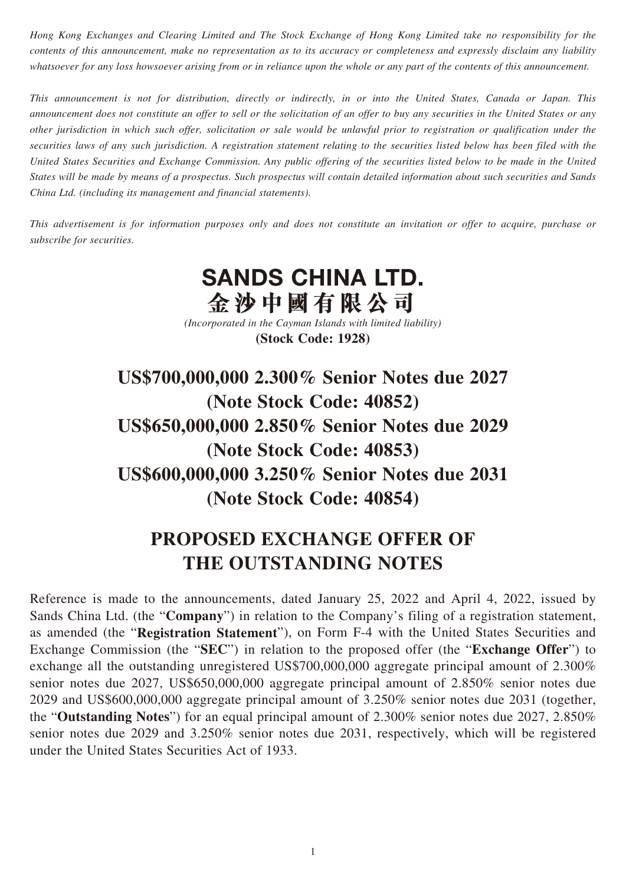*Hong Kong Exchanges and Clearing Limited and The Stock Exchange of Hong Kong Limited take no responsibility for the contents of this announcement, make no representation as to its accuracy or completeness and expressly disclaim any liability whatsoever for any loss howsoever arising from or in reliance upon the whole or any part of the contents of this announcement.*

*This announcement is not for distribution, directly or indirectly, in or into the United States, Canada or Japan. This announcement does not constitute an offer to sell or the solicitation of an offer to buy any securities in the United States or any other jurisdiction in which such offer, solicitation or sale would be unlawful prior to registration or qualification under the securities laws of any such jurisdiction. A registration statement relating to the securities listed below has been filed with the United States Securities and Exchange Commission. Any public offering of the securities listed below to be made in the United States will be made by means of a prospectus. Such prospectus will contain detailed information about such securities and Sands China Ltd. (including its management and financial statements).*

*This advertisement is for information purposes only and does not constitute an invitation or offer to acquire, purchase or subscribe for securities.*

## **SANDS CHINA LTD. 金沙中國有限公司**

*(Incorporated in the Cayman Islands with limited liability)* **(Stock Code: 1928)**

**US\$700,000,000 2.300% Senior Notes due 2027 (Note Stock Code: 40852) US\$650,000,000 2.850% Senior Notes due 2029 (Note Stock Code: 40853) US\$600,000,000 3.250% Senior Notes due 2031 (Note Stock Code: 40854)**

## **PROPOSED EXCHANGE OFFER OF THE OUTSTANDING NOTES**

Reference is made to the announcements, dated January 25, 2022 and April 4, 2022, issued by Sands China Ltd. (the "**Company**") in relation to the Company's filing of a registration statement, as amended (the "**Registration Statement**"), on Form F-4 with the United States Securities and Exchange Commission (the "**SEC**") in relation to the proposed offer (the "**Exchange Offer**") to exchange all the outstanding unregistered US\$700,000,000 aggregate principal amount of 2.300% senior notes due 2027, US\$650,000,000 aggregate principal amount of 2.850% senior notes due 2029 and US\$600,000,000 aggregate principal amount of 3.250% senior notes due 2031 (together, the "**Outstanding Notes**") for an equal principal amount of 2.300% senior notes due 2027, 2.850% senior notes due 2029 and 3.250% senior notes due 2031, respectively, which will be registered under the United States Securities Act of 1933.